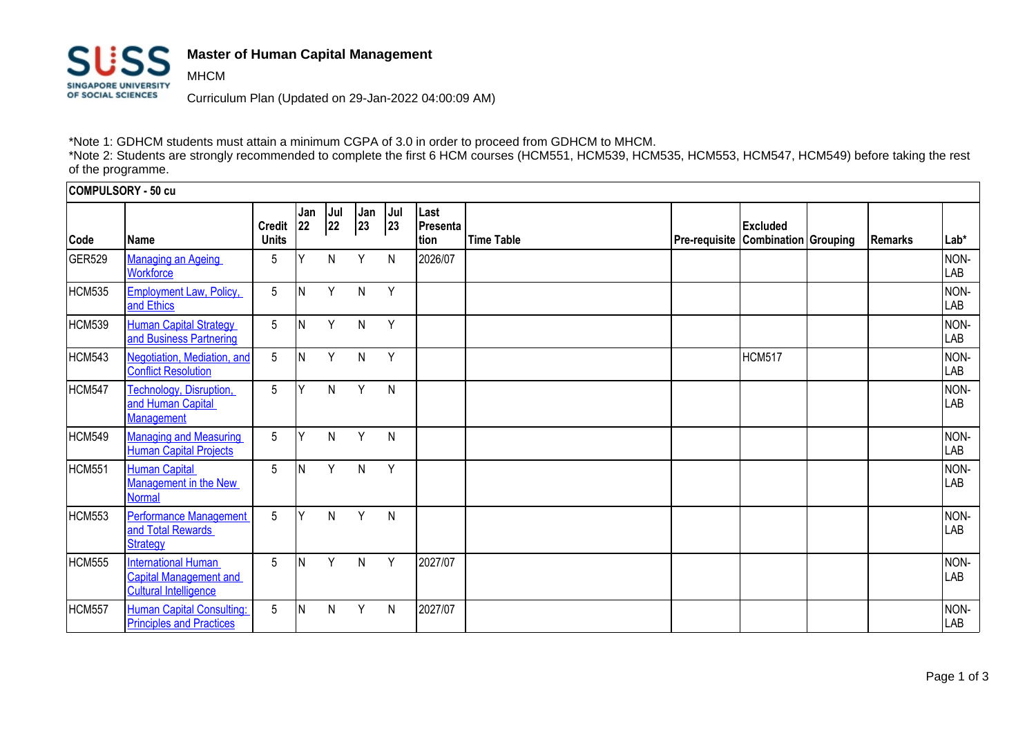

MHCM

## **Master of Human Capital Management**

Curriculum Plan (Updated on 29-Jan-2022 04:00:09 AM)

\*Note 1: GDHCM students must attain a minimum CGPA of 3.0 in order to proceed from GDHCM to MHCM.

\*Note 2: Students are strongly recommended to complete the first 6 HCM courses (HCM551, HCM539, HCM535, HCM553, HCM547, HCM549) before taking the rest of the programme.

| COMPULSORY - 50 cu |                                                                                             |                               |           |           |           |            |                          |                   |                                                              |         |             |
|--------------------|---------------------------------------------------------------------------------------------|-------------------------------|-----------|-----------|-----------|------------|--------------------------|-------------------|--------------------------------------------------------------|---------|-------------|
| Code               | Name                                                                                        | <b>Credit</b><br><b>Units</b> | Jan<br>22 | Jul<br>22 | Jan<br>23 | Jul<br> 23 | Last<br>Presenta<br>tion | <b>Time Table</b> | <b>Excluded</b><br><b>Pre-requisite Combination Grouping</b> | Remarks | $Lab*$      |
| GER529             | <b>Managing an Ageing</b><br><b>Workforce</b>                                               | 5                             |           | N         | Y         | N          | 2026/07                  |                   |                                                              |         | NON-<br>LAB |
| HCM535             | <b>Employment Law, Policy,</b><br>and Ethics                                                | 5                             | ΙN        | Υ         | N         | Y          |                          |                   |                                                              |         | NON-<br>LAB |
| HCM539             | <b>Human Capital Strategy</b><br>and Business Partnering                                    | 5                             | IN.       | Y         | N         | Y          |                          |                   |                                                              |         | NON-<br>LAB |
| <b>HCM543</b>      | Negotiation, Mediation, and<br><b>Conflict Resolution</b>                                   | 5                             | ΙN        | Υ         | N         | Y          |                          |                   | <b>HCM517</b>                                                |         | NON-<br>LAB |
| <b>HCM547</b>      | Technology, Disruption,<br>and Human Capital<br><b>Management</b>                           | 5                             | ΙY        | N         | Y         | N          |                          |                   |                                                              |         | NON-<br>LAB |
| <b>HCM549</b>      | <b>Managing and Measuring</b><br><b>Human Capital Projects</b>                              | 5                             | Y         | N         | Y         | N          |                          |                   |                                                              |         | NON-<br>LAB |
| HCM551             | <b>Human Capital</b><br>Management in the New<br><b>Normal</b>                              | 5                             | ΙN        | Y         | N         | Y          |                          |                   |                                                              |         | NON-<br>LAB |
| HCM553             | <b>Performance Management</b><br>and Total Rewards<br>Strategy                              | 5                             | Y         | N.        | Y         | N          |                          |                   |                                                              |         | NON-<br>LAB |
| HCM555             | <b>International Human</b><br><b>Capital Management and</b><br><b>Cultural Intelligence</b> | 5                             | ΙN        | Y         | N         | Y          | 2027/07                  |                   |                                                              |         | NON-<br>LAB |
| HCM557             | <b>Human Capital Consulting:</b><br><b>Principles and Practices</b>                         | 5                             | IN.       | N         | Y         | N          | 2027/07                  |                   |                                                              |         | NON-<br>LAB |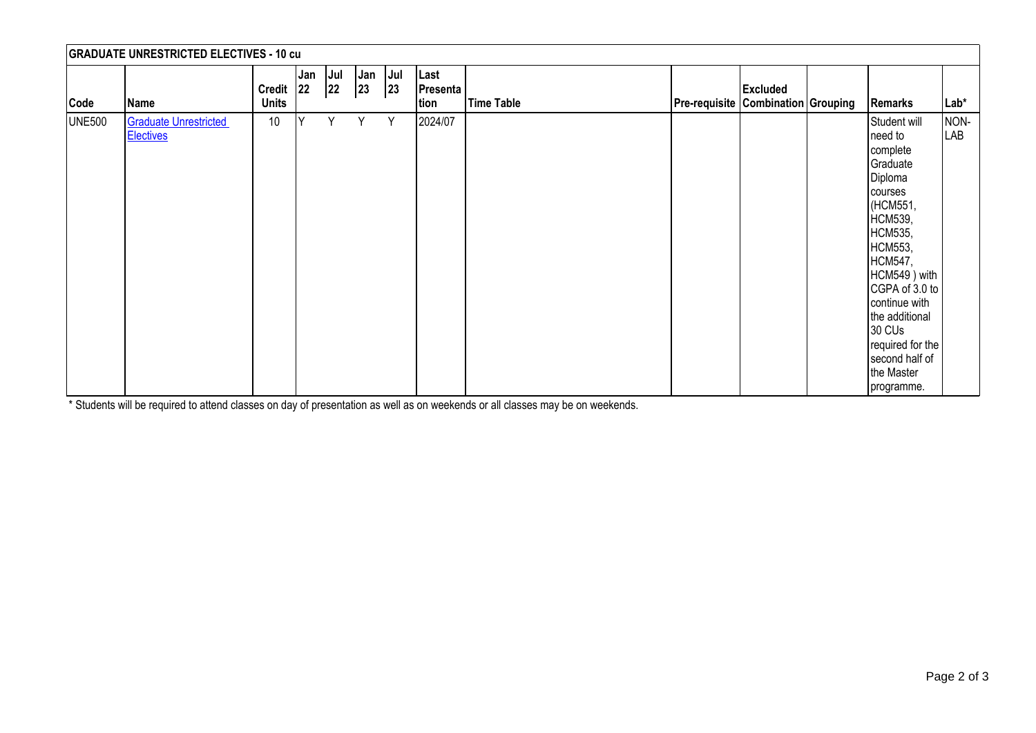| <b>GRADUATE UNRESTRICTED ELECTIVES - 10 cu</b> |                                                  |                               |           |           |                                                    |            |                                 |            |  |                                                              |                                                                                                                                                                                                                                                                                                   |             |
|------------------------------------------------|--------------------------------------------------|-------------------------------|-----------|-----------|----------------------------------------------------|------------|---------------------------------|------------|--|--------------------------------------------------------------|---------------------------------------------------------------------------------------------------------------------------------------------------------------------------------------------------------------------------------------------------------------------------------------------------|-------------|
| Code                                           | Name                                             | <b>Credit</b><br><b>Units</b> | Jan<br>22 | Jul<br>22 | $\begin{array}{c} \n\text{Jan} \\ 23\n\end{array}$ | Jul<br> 23 | Last<br><b>Presenta</b><br>tion | Time Table |  | <b>Excluded</b><br><b>Pre-requisite Combination Grouping</b> | <b>Remarks</b>                                                                                                                                                                                                                                                                                    | Lab*        |
| <b>UNE500</b>                                  | <b>Graduate Unrestricted</b><br><b>Electives</b> | 10                            | Y         | Y         | Y                                                  | Y          | 2024/07                         |            |  |                                                              | Student will<br>need to<br>complete<br>Graduate<br>Diploma<br>courses<br>(HCM551,<br>HCM539,<br>HCM535,<br>HCM553,<br><b>HCM547,</b><br>HCM549) with<br>CGPA of 3.0 to<br>continue with<br>the additional<br>30 CU <sub>s</sub><br>required for the<br>second half of<br>the Master<br>programme. | NON-<br>LAB |

\* Students will be required to attend classes on day of presentation as well as on weekends or all classes may be on weekends.